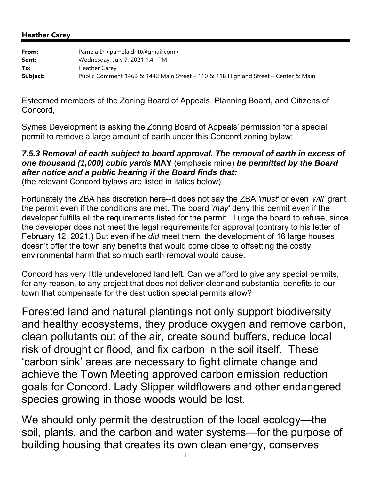#### **Heather Carey**

| From:    | Pamela D <pamela.dritt@gmail.com></pamela.dritt@gmail.com>                         |
|----------|------------------------------------------------------------------------------------|
| Sent:    | Wednesday, July 7, 2021 1:41 PM                                                    |
| To:      | <b>Heather Carey</b>                                                               |
| Subject: | Public Comment 146B & 1442 Main Street - 110 & 11B Highland Street - Center & Main |

Esteemed members of the Zoning Board of Appeals, Planning Board, and Citizens of Concord,

Symes Development is asking the Zoning Board of Appeals' permission for a special permit to remove a large amount of earth under this Concord zoning bylaw:

## *7.5.3 Removal of earth subject to board approval. The removal of earth in excess of one thousand (1,000) cubic yards* **MAY** (emphasis mine) *be permitted by the Board after notice and a public hearing if the Board finds that:*

(the relevant Concord bylaws are listed in italics below)

Fortunately the ZBA has discretion here--it does not say the ZBA *'must'* or even *'will'* grant the permit even if the conditions are met. The board '*may'* deny this permit even if the developer fulfills all the requirements listed for the permit. I urge the board to refuse, since the developer does not meet the legal requirements for approval (contrary to his letter of February 12, 2021.) But even if he *did* meet them, the development of 16 large houses doesn't offer the town any benefits that would come close to offsetting the costly environmental harm that so much earth removal would cause.

Concord has very little undeveloped land left. Can we afford to give any special permits, for any reason, to any project that does not deliver clear and substantial benefits to our town that compensate for the destruction special permits allow?

Forested land and natural plantings not only support biodiversity and healthy ecosystems, they produce oxygen and remove carbon, clean pollutants out of the air, create sound buffers, reduce local risk of drought or flood, and fix carbon in the soil itself. These 'carbon sink' areas are necessary to fight climate change and achieve the Town Meeting approved carbon emission reduction goals for Concord. Lady Slipper wildflowers and other endangered species growing in those woods would be lost.

We should only permit the destruction of the local ecology—the soil, plants, and the carbon and water systems—for the purpose of building housing that creates its own clean energy, conserves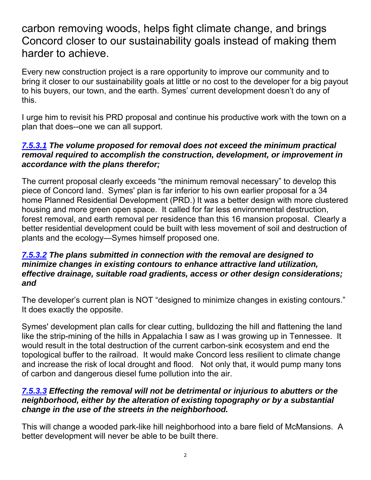# carbon removing woods, helps fight climate change, and brings Concord closer to our sustainability goals instead of making them harder to achieve.

Every new construction project is a rare opportunity to improve our community and to bring it closer to our sustainability goals at little or no cost to the developer for a big payout to his buyers, our town, and the earth. Symes' current development doesn't do any of this.

I urge him to revisit his PRD proposal and continue his productive work with the town on a plan that does--one we can all support.

## *7.5.3.1 The volume proposed for removal does not exceed the minimum practical removal required to accomplish the construction, development, or improvement in accordance with the plans therefor;*

The current proposal clearly exceeds "the minimum removal necessary" to develop this piece of Concord land. Symes' plan is far inferior to his own earlier proposal for a 34 home Planned Residential Development (PRD.) It was a better design with more clustered housing and more green open space. It called for far less environmental destruction, forest removal, and earth removal per residence than this 16 mansion proposal. Clearly a better residential development could be built with less movement of soil and destruction of plants and the ecology—Symes himself proposed one.

#### *7.5.3.2 The plans submitted in connection with the removal are designed to minimize changes in existing contours to enhance attractive land utilization, effective drainage, suitable road gradients, access or other design considerations; and*

The developer's current plan is NOT "designed to minimize changes in existing contours." It does exactly the opposite.

Symes' development plan calls for clear cutting, bulldozing the hill and flattening the land like the strip-mining of the hills in Appalachia I saw as I was growing up in Tennessee. It would result in the total destruction of the current carbon-sink ecosystem and end the topological buffer to the railroad. It would make Concord less resilient to climate change and increase the risk of local drought and flood. Not only that, it would pump many tons of carbon and dangerous diesel fume pollution into the air.

## *7.5.3.3 Effecting the removal will not be detrimental or injurious to abutters or the neighborhood, either by the alteration of existing topography or by a substantial change in the use of the streets in the neighborhood.*

This will change a wooded park-like hill neighborhood into a bare field of McMansions. A better development will never be able to be built there.